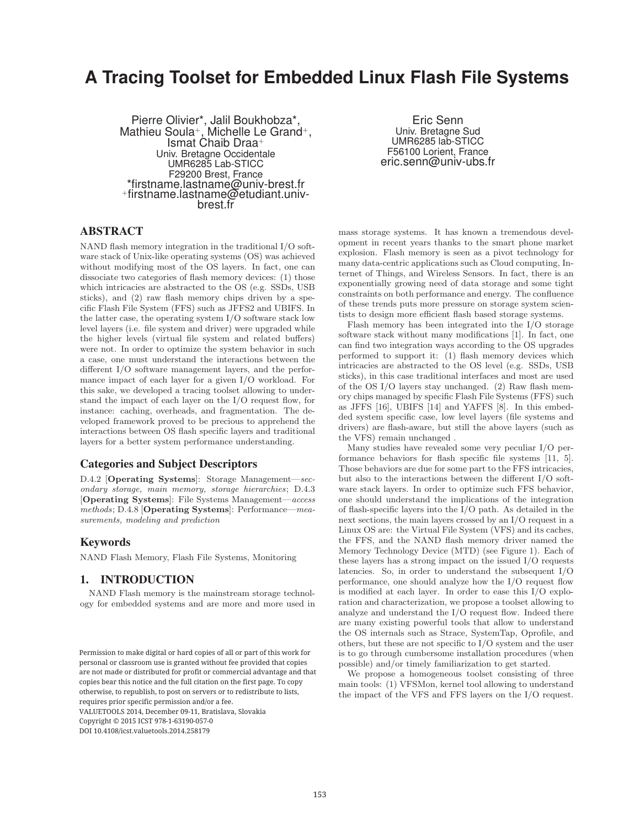# **A Tracing Toolset for Embedded Linux Flash File Systems**

Pierre Olivier\*, Jalil Boukhobza\*, Mathieu Soula+, Michelle Le Grand+, Ismat Chaib Draa<sup>+</sup> Univ. Bretagne Occidentale UMR6285 Lab-STICC F29200 Brest, France \*firstname.lastname@univ-brest.fr +firstname.lastname@etudiant.univbrest.fr

Eric Senn Univ. Bretagne Sud UMR6285 lab-STICC F56100 Lorient, France eric.senn@univ-ubs.fr

## ABSTRACT

NAND flash memory integration in the traditional I/O software stack of Unix-like operating systems (OS) was achieved without modifying most of the OS layers. In fact, one can dissociate two categories of flash memory devices: (1) those which intricacies are abstracted to the OS (e.g. SSDs, USB sticks), and (2) raw flash memory chips driven by a specific Flash File System (FFS) such as JFFS2 and UBIFS. In the latter case, the operating system I/O software stack low level layers (i.e. file system and driver) were upgraded while the higher levels (virtual file system and related buffers) were not. In order to optimize the system behavior in such a case, one must understand the interactions between the different I/O software management layers, and the performance impact of each layer for a given I/O workload. For this sake, we developed a tracing toolset allowing to understand the impact of each layer on the I/O request flow, for instance: caching, overheads, and fragmentation. The developed framework proved to be precious to apprehend the interactions between OS flash specific layers and traditional layers for a better system performance understanding.

## Categories and Subject Descriptors

D.4.2 [**Operating Systems**]: Storage Management—secondary storage, main memory, storage hierarchies; D.4.3 [**Operating Systems**]: File Systems Management—access methods; D.4.8 [**Operating Systems**]: Performance—measurements, modeling and prediction

#### Keywords

NAND Flash Memory, Flash File Systems, Monitoring

## 1. INTRODUCTION

NAND Flash memory is the mainstream storage technology for embedded systems and are more and more used in

VALUETOOLS 2014, December 09-11, Bratislava, Slovakia

Convright © 2015 ICST 978-1-63190-057-0

DOI 10.4108/icst.valuetools.2014.258179

mass storage systems. It has known a tremendous development in recent years thanks to the smart phone market explosion. Flash memory is seen as a pivot technology for many data-centric applications such as Cloud computing, Internet of Things, and Wireless Sensors. In fact, there is an exponentially growing need of data storage and some tight constraints on both performance and energy. The confluence of these trends puts more pressure on storage system scientists to design more efficient flash based storage systems.

Flash memory has been integrated into the I/O storage software stack without many modifications [1]. In fact, one can find two integration ways according to the OS upgrades performed to support it: (1) flash memory devices which intricacies are abstracted to the OS level (e.g. SSDs, USB sticks), in this case traditional interfaces and most are used of the OS I/O layers stay unchanged. (2) Raw flash memory chips managed by specific Flash File Systems (FFS) such as JFFS [16], UBIFS [14] and YAFFS [8]. In this embedded system specific case, low level layers (file systems and drivers) are flash-aware, but still the above layers (such as the VFS) remain unchanged .

Many studies have revealed some very peculiar I/O performance behaviors for flash specific file systems [11, 5]. Those behaviors are due for some part to the FFS intricacies, but also to the interactions between the different I/O software stack layers. In order to optimize such FFS behavior, one should understand the implications of the integration of flash-specific layers into the I/O path. As detailed in the next sections, the main layers crossed by an I/O request in a Linux OS are: the Virtual File System (VFS) and its caches, the FFS, and the NAND flash memory driver named the Memory Technology Device (MTD) (see Figure 1). Each of these layers has a strong impact on the issued I/O requests latencies. So, in order to understand the subsequent  $I/O$ performance, one should analyze how the I/O request flow is modified at each layer. In order to ease this I/O exploration and characterization, we propose a toolset allowing to analyze and understand the I/O request flow. Indeed there are many existing powerful tools that allow to understand the OS internals such as Strace, SystemTap, Oprofile, and others, but these are not specific to I/O system and the user is to go through cumbersome installation procedures (when possible) and/or timely familiarization to get started.

We propose a homogeneous toolset consisting of three main tools: (1) VFSMon, kernel tool allowing to understand the impact of the VFS and FFS layers on the I/O request.

Permission to make digital or hard copies of all or part of this work for personal or classroom use is granted without fee provided that copies are not made or distributed for profit or commercial advantage and that copies bear this notice and the full citation on the first page. To copy otherwise, to republish, to post on servers or to redistribute to lists, requires prior specific permission and/or a fee.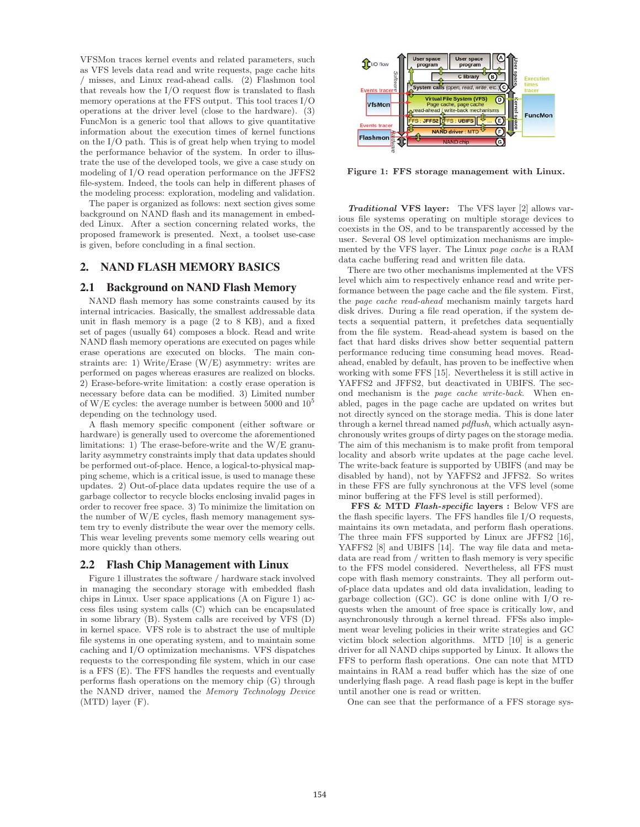VFSMon traces kernel events and related parameters, such as VFS levels data read and write requests, page cache hits / misses, and Linux read-ahead calls. (2) Flashmon tool that reveals how the I/O request flow is translated to flash memory operations at the FFS output. This tool traces I/O operations at the driver level (close to the hardware). (3) FuncMon is a generic tool that allows to give quantitative information about the execution times of kernel functions on the I/O path. This is of great help when trying to model the performance behavior of the system. In order to illustrate the use of the developed tools, we give a case study on modeling of I/O read operation performance on the JFFS2 file-system. Indeed, the tools can help in different phases of the modeling process: exploration, modeling and validation.

The paper is organized as follows: next section gives some background on NAND flash and its management in embedded Linux. After a section concerning related works, the proposed framework is presented. Next, a toolset use-case is given, before concluding in a final section.

## 2. NAND FLASH MEMORY BASICS

#### 2.1 Background on NAND Flash Memory

NAND flash memory has some constraints caused by its internal intricacies. Basically, the smallest addressable data unit in flash memory is a page (2 to 8 KB), and a fixed set of pages (usually 64) composes a block. Read and write NAND flash memory operations are executed on pages while erase operations are executed on blocks. The main constraints are: 1) Write/Erase (W/E) asymmetry: writes are performed on pages whereas erasures are realized on blocks. 2) Erase-before-write limitation: a costly erase operation is necessary before data can be modified. 3) Limited number of W/E cycles: the average number is between 5000 and  $10^5$ depending on the technology used.

A flash memory specific component (either software or hardware) is generally used to overcome the aforementioned limitations: 1) The erase-before-write and the W/E granularity asymmetry constraints imply that data updates should be performed out-of-place. Hence, a logical-to-physical mapping scheme, which is a critical issue, is used to manage these updates. 2) Out-of-place data updates require the use of a garbage collector to recycle blocks enclosing invalid pages in order to recover free space. 3) To minimize the limitation on the number of  $W/E$  cycles, flash memory management system try to evenly distribute the wear over the memory cells. This wear leveling prevents some memory cells wearing out more quickly than others.

#### 2.2 Flash Chip Management with Linux

Figure 1 illustrates the software / hardware stack involved in managing the secondary storage with embedded flash chips in Linux. User space applications (A on Figure 1) access files using system calls (C) which can be encapsulated in some library (B). System calls are received by VFS (D) in kernel space. VFS role is to abstract the use of multiple file systems in one operating system, and to maintain some caching and I/O optimization mechanisms. VFS dispatches requests to the corresponding file system, which in our case is a FFS (E). The FFS handles the requests and eventually performs flash operations on the memory chip (G) through the NAND driver, named the Memory Technology Device (MTD) layer (F).



**Figure 1: FFS storage management with Linux.**

*Traditional* **VFS layer:** The VFS layer [2] allows various file systems operating on multiple storage devices to coexists in the OS, and to be transparently accessed by the user. Several OS level optimization mechanisms are implemented by the VFS layer. The Linux page cache is a RAM data cache buffering read and written file data.

There are two other mechanisms implemented at the VFS level which aim to respectively enhance read and write performance between the page cache and the file system. First, the page cache read-ahead mechanism mainly targets hard disk drives. During a file read operation, if the system detects a sequential pattern, it prefetches data sequentially from the file system. Read-ahead system is based on the fact that hard disks drives show better sequential pattern performance reducing time consuming head moves. Readahead, enabled by default, has proven to be ineffective when working with some FFS [15]. Nevertheless it is still active in YAFFS2 and JFFS2, but deactivated in UBIFS. The second mechanism is the page cache write-back. When enabled, pages in the page cache are updated on writes but not directly synced on the storage media. This is done later through a kernel thread named *pdflush*, which actually asynchronously writes groups of dirty pages on the storage media. The aim of this mechanism is to make profit from temporal locality and absorb write updates at the page cache level. The write-back feature is supported by UBIFS (and may be disabled by hand), not by YAFFS2 and JFFS2. So writes in these FFS are fully synchronous at the VFS level (some minor buffering at the FFS level is still performed).

**FFS & MTD** *Flash-specific* **layers :** Below VFS are the flash specific layers. The FFS handles file I/O requests, maintains its own metadata, and perform flash operations. The three main FFS supported by Linux are JFFS2 [16], YAFFS2 [8] and UBIFS [14]. The way file data and metadata are read from / written to flash memory is very specific to the FFS model considered. Nevertheless, all FFS must cope with flash memory constraints. They all perform outof-place data updates and old data invalidation, leading to garbage collection (GC). GC is done online with I/O requests when the amount of free space is critically low, and asynchronously through a kernel thread. FFSs also implement wear leveling policies in their write strategies and GC victim block selection algorithms. MTD [10] is a generic driver for all NAND chips supported by Linux. It allows the FFS to perform flash operations. One can note that MTD maintains in RAM a read buffer which has the size of one underlying flash page. A read flash page is kept in the buffer until another one is read or written.

One can see that the performance of a FFS storage sys-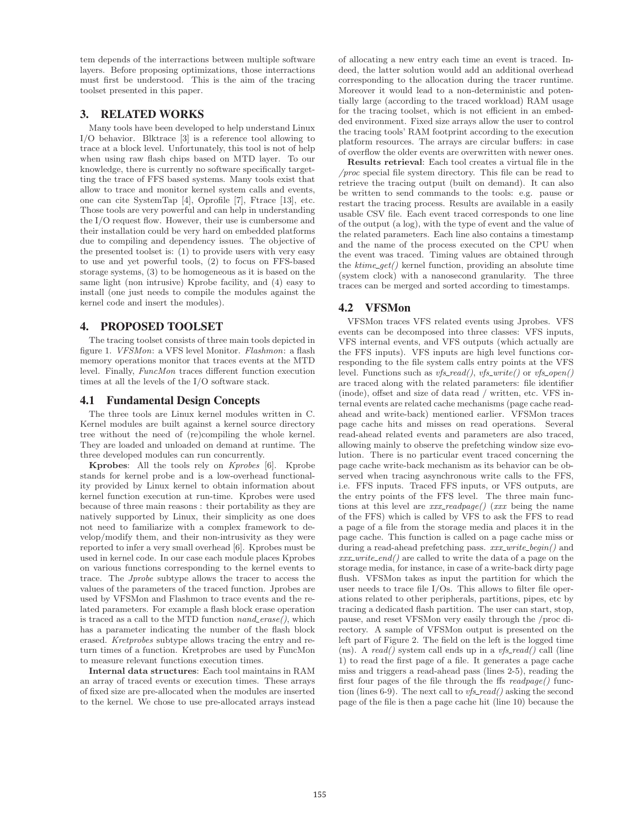tem depends of the interractions between multiple software layers. Before proposing optimizations, those interractions must first be understood. This is the aim of the tracing toolset presented in this paper.

## 3. RELATED WORKS

Many tools have been developed to help understand Linux I/O behavior. Blktrace [3] is a reference tool allowing to trace at a block level. Unfortunately, this tool is not of help when using raw flash chips based on MTD layer. To our knowledge, there is currently no software specifically targetting the trace of FFS based systems. Many tools exist that allow to trace and monitor kernel system calls and events, one can cite SystemTap [4], Oprofile [7], Ftrace [13], etc. Those tools are very powerful and can help in understanding the I/O request flow. However, their use is cumbersome and their installation could be very hard on embedded platforms due to compiling and dependency issues. The objective of the presented toolset is: (1) to provide users with very easy to use and yet powerful tools, (2) to focus on FFS-based storage systems, (3) to be homogeneous as it is based on the same light (non intrusive) Kprobe facility, and (4) easy to install (one just needs to compile the modules against the kernel code and insert the modules).

## 4. PROPOSED TOOLSET

The tracing toolset consists of three main tools depicted in figure 1. VFSMon: a VFS level Monitor. Flashmon: a flash memory operations monitor that traces events at the MTD level. Finally, FuncMon traces different function execution times at all the levels of the I/O software stack.

## 4.1 Fundamental Design Concepts

The three tools are Linux kernel modules written in C. Kernel modules are built against a kernel source directory tree without the need of (re)compiling the whole kernel. They are loaded and unloaded on demand at runtime. The three developed modules can run concurrently.

**Kprobes**: All the tools rely on Kprobes [6]. Kprobe stands for kernel probe and is a low-overhead functionality provided by Linux kernel to obtain information about kernel function execution at run-time. Kprobes were used because of three main reasons : their portability as they are natively supported by Linux, their simplicity as one does not need to familiarize with a complex framework to develop/modify them, and their non-intrusivity as they were reported to infer a very small overhead [6]. Kprobes must be used in kernel code. In our case each module places Kprobes on various functions corresponding to the kernel events to trace. The Jprobe subtype allows the tracer to access the values of the parameters of the traced function. Jprobes are used by VFSMon and Flashmon to trace events and the related parameters. For example a flash block erase operation is traced as a call to the MTD function  $nand\_erase(),$  which has a parameter indicating the number of the flash block erased. Kretprobes subtype allows tracing the entry and return times of a function. Kretprobes are used by FuncMon to measure relevant functions execution times.

**Internal data structures**: Each tool maintains in RAM an array of traced events or execution times. These arrays of fixed size are pre-allocated when the modules are inserted to the kernel. We chose to use pre-allocated arrays instead

of allocating a new entry each time an event is traced. Indeed, the latter solution would add an additional overhead corresponding to the allocation during the tracer runtime. Moreover it would lead to a non-deterministic and potentially large (according to the traced workload) RAM usage for the tracing toolset, which is not efficient in an embedded environment. Fixed size arrays allow the user to control the tracing tools' RAM footprint according to the execution platform resources. The arrays are circular buffers: in case of overflow the older events are overwritten with newer ones.

**Results retrieval**: Each tool creates a virtual file in the /proc special file system directory. This file can be read to retrieve the tracing output (built on demand). It can also be written to send commands to the tools: e.g. pause or restart the tracing process. Results are available in a easily usable CSV file. Each event traced corresponds to one line of the output (a log), with the type of event and the value of the related parameters. Each line also contains a timestamp and the name of the process executed on the CPU when the event was traced. Timing values are obtained through the  $ktime\_get()$  kernel function, providing an absolute time (system clock) with a nanosecond granularity. The three traces can be merged and sorted according to timestamps.

# 4.2 VFSMon

VFSMon traces VFS related events using Jprobes. VFS events can be decomposed into three classes: VFS inputs, VFS internal events, and VFS outputs (which actually are the FFS inputs). VFS inputs are high level functions corresponding to the file system calls entry points at the VFS level. Functions such as  $vfs\_read()$ ,  $vfs\_write()$  or  $vfs\_open()$ are traced along with the related parameters: file identifier (inode), offset and size of data read / written, etc. VFS internal events are related cache mechanisms (page cache readahead and write-back) mentioned earlier. VFSMon traces page cache hits and misses on read operations. Several read-ahead related events and parameters are also traced, allowing mainly to observe the prefetching window size evolution. There is no particular event traced concerning the page cache write-back mechanism as its behavior can be observed when tracing asynchronous write calls to the FFS, i.e. FFS inputs. Traced FFS inputs, or VFS outputs, are the entry points of the FFS level. The three main functions at this level are  $xxx\_readpage()$  (xxx being the name of the FFS) which is called by VFS to ask the FFS to read a page of a file from the storage media and places it in the page cache. This function is called on a page cache miss or during a read-ahead prefetching pass.  $xxx\_write\_begin()$  and  $xxx\_write\_end()$  are called to write the data of a page on the storage media, for instance, in case of a write-back dirty page flush. VFSMon takes as input the partition for which the user needs to trace file I/Os. This allows to filter file operations related to other peripherals, partitions, pipes, etc by tracing a dedicated flash partition. The user can start, stop, pause, and reset VFSMon very easily through the /proc directory. A sample of VFSMon output is presented on the left part of Figure 2. The field on the left is the logged time (ns). A read() system call ends up in a  $vfs\_read()$  call (line 1) to read the first page of a file. It generates a page cache miss and triggers a read-ahead pass (lines 2-5), reading the first four pages of the file through the ffs  $readpage()$  function (lines 6-9). The next call to  $vfs\_read()$  asking the second page of the file is then a page cache hit (line 10) because the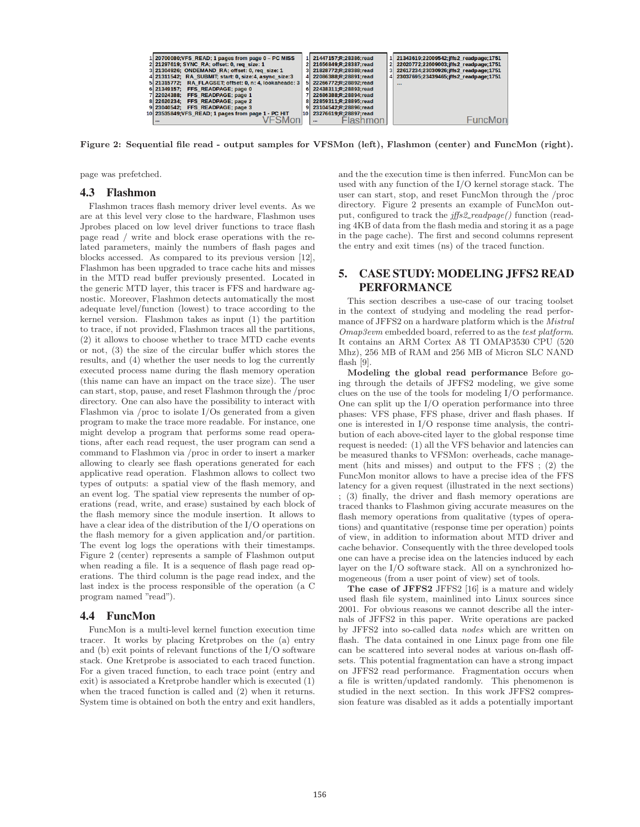

**Figure 2: Sequential file read - output samples for VFSMon (left), Flashmon (center) and FuncMon (right).**

page was prefetched.

#### 4.3 Flashmon

Flashmon traces flash memory driver level events. As we are at this level very close to the hardware, Flashmon uses Jprobes placed on low level driver functions to trace flash page read / write and block erase operations with the related parameters, mainly the numbers of flash pages and blocks accessed. As compared to its previous version [12], Flashmon has been upgraded to trace cache hits and misses in the MTD read buffer previously presented. Located in the generic MTD layer, this tracer is FFS and hardware agnostic. Moreover, Flashmon detects automatically the most adequate level/function (lowest) to trace according to the kernel version. Flashmon takes as input (1) the partition to trace, if not provided, Flashmon traces all the partitions, (2) it allows to choose whether to trace MTD cache events or not, (3) the size of the circular buffer which stores the results, and (4) whether the user needs to log the currently executed process name during the flash memory operation (this name can have an impact on the trace size). The user can start, stop, pause, and reset Flashmon through the /proc directory. One can also have the possibility to interact with Flashmon via /proc to isolate I/Os generated from a given program to make the trace more readable. For instance, one might develop a program that performs some read operations, after each read request, the user program can send a command to Flashmon via /proc in order to insert a marker allowing to clearly see flash operations generated for each applicative read operation. Flashmon allows to collect two types of outputs: a spatial view of the flash memory, and an event log. The spatial view represents the number of operations (read, write, and erase) sustained by each block of the flash memory since the module insertion. It allows to have a clear idea of the distribution of the I/O operations on the flash memory for a given application and/or partition. The event log logs the operations with their timestamps. Figure 2 (center) represents a sample of Flashmon output when reading a file. It is a sequence of flash page read operations. The third column is the page read index, and the last index is the process responsible of the operation (a C program named "read").

#### 4.4 FuncMon

FuncMon is a multi-level kernel function execution time tracer. It works by placing Kretprobes on the (a) entry and (b) exit points of relevant functions of the I/O software stack. One Kretprobe is associated to each traced function. For a given traced function, to each trace point (entry and exit) is associated a Kretprobe handler which is executed (1) when the traced function is called and (2) when it returns. System time is obtained on both the entry and exit handlers,

and the the execution time is then inferred. FuncMon can be used with any function of the I/O kernel storage stack. The user can start, stop, and reset FuncMon through the /proc directory. Figure 2 presents an example of FuncMon output, configured to track the *iffs2\_readpage()* function (reading 4KB of data from the flash media and storing it as a page in the page cache). The first and second columns represent the entry and exit times (ns) of the traced function.

## 5. CASE STUDY: MODELING JFFS2 READ PERFORMANCE

This section describes a use-case of our tracing toolset in the context of studying and modeling the read performance of JFFS2 on a hardware platform which is the Mistral Omap3evm embedded board, referred to as the test platform. It contains an ARM Cortex A8 TI OMAP3530 CPU (520 Mhz), 256 MB of RAM and 256 MB of Micron SLC NAND flash [9].

**Modeling the global read performance** Before going through the details of JFFS2 modeling, we give some clues on the use of the tools for modeling I/O performance. One can split up the I/O operation performance into three phases: VFS phase, FFS phase, driver and flash phases. If one is interested in I/O response time analysis, the contribution of each above-cited layer to the global response time request is needed: (1) all the VFS behavior and latencies can be measured thanks to VFSMon: overheads, cache management (hits and misses) and output to the FFS ; (2) the FuncMon monitor allows to have a precise idea of the FFS latency for a given request (illustrated in the next sections) ; (3) finally, the driver and flash memory operations are traced thanks to Flashmon giving accurate measures on the flash memory operations from qualitative (types of operations) and quantitative (response time per operation) points of view, in addition to information about MTD driver and cache behavior. Consequently with the three developed tools one can have a precise idea on the latencies induced by each layer on the I/O software stack. All on a synchronized homogeneous (from a user point of view) set of tools.

**The case of JFFS2** JFFS2 [16] is a mature and widely used flash file system, mainlined into Linux sources since 2001. For obvious reasons we cannot describe all the internals of JFFS2 in this paper. Write operations are packed by JFFS2 into so-called data nodes which are written on flash. The data contained in one Linux page from one file can be scattered into several nodes at various on-flash offsets. This potential fragmentation can have a strong impact on JFFS2 read performance. Fragmentation occurs when a file is written/updated randomly. This phenomenon is studied in the next section. In this work JFFS2 compression feature was disabled as it adds a potentially important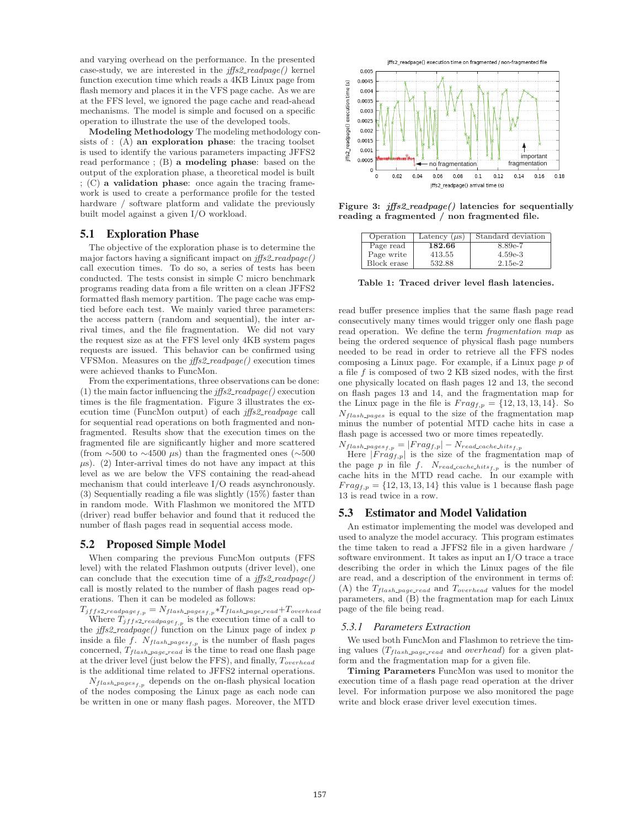and varying overhead on the performance. In the presented case-study, we are interested in the  $jjfs2\_readpage()$  kernel function execution time which reads a 4KB Linux page from flash memory and places it in the VFS page cache. As we are at the FFS level, we ignored the page cache and read-ahead mechanisms. The model is simple and focused on a specific operation to illustrate the use of the developed tools.

**Modeling Methodology** The modeling methodology consists of : (A) **an exploration phase**: the tracing toolset is used to identify the various parameters impacting JFFS2 read performance ; (B) **a modeling phase**: based on the output of the exploration phase, a theoretical model is built ; (C) **a validation phase**: once again the tracing framework is used to create a performance profile for the tested hardware / software platform and validate the previously built model against a given I/O workload.

#### 5.1 Exploration Phase

The objective of the exploration phase is to determine the major factors having a significant impact on  $\textit{jffs2}\textit{-readpage}()$ call execution times. To do so, a series of tests has been conducted. The tests consist in simple C micro benchmark programs reading data from a file written on a clean JFFS2 formatted flash memory partition. The page cache was emptied before each test. We mainly varied three parameters: the access pattern (random and sequential), the inter arrival times, and the file fragmentation. We did not vary the request size as at the FFS level only 4KB system pages requests are issued. This behavior can be confirmed using VFSMon. Measures on the jffs2 readpage() execution times were achieved thanks to FuncMon.

From the experimentations, three observations can be done: (1) the main factor influencing the  $iffs2\_readpage()$  execution times is the file fragmentation. Figure 3 illustrates the execution time (FuncMon output) of each jffs2 readpage call for sequential read operations on both fragmented and nonfragmented. Results show that the execution times on the fragmented file are significantly higher and more scattered (from  $\sim$ 500 to  $\sim$ 4500 µs) than the fragmented ones ( $\sim$ 500  $\mu$ s). (2) Inter-arrival times do not have any impact at this level as we are below the VFS containing the read-ahead mechanism that could interleave I/O reads asynchronously. (3) Sequentially reading a file was slightly (15%) faster than in random mode. With Flashmon we monitored the MTD (driver) read buffer behavior and found that it reduced the number of flash pages read in sequential access mode.

#### 5.2 Proposed Simple Model

When comparing the previous FuncMon outputs (FFS level) with the related Flashmon outputs (driver level), one can conclude that the execution time of a  $iffs2\_readpage()$ call is mostly related to the number of flash pages read operations. Then it can be modeled as follows:

 $T_{jffs2\_readpage_{f,p}} = N_{flash\_pages_{f,p}} * T_{flash\_page\_read} + T_{overhead}$ Where  $T_{jffs2\_readpage_{f,p}}$  is the execution time of a call to the  $\text{iffs2}\text{-}readpage()$  function on the Linux page of index p inside a file f.  $N_{flash\_pages_{f,p}}$  is the number of flash pages concerned,  $T_{flash\_page\_read}$  is the time to read one flash page at the driver level (just below the FFS), and finally, Toverhead is the additional time related to JFFS2 internal operations.

 $N_{flash\text{-}pages}_{f,p}$  depends on the on-flash physical location of the nodes composing the Linux page as each node can be written in one or many flash pages. Moreover, the MTD



**Figure 3:** *jffs2 readpage()* **latencies for sequentially reading a fragmented / non fragmented file.**

| Operation   | Latency $(\mu s)$ | Standard deviation |
|-------------|-------------------|--------------------|
| Page read   | 182.66            | 8.89e-7            |
| Page write  | 413.55            | $4.59e-3$          |
| Block erase | 532.88            | 2.15e-2            |

**Table 1: Traced driver level flash latencies.**

read buffer presence implies that the same flash page read consecutively many times would trigger only one flash page read operation. We define the term fragmentation map as being the ordered sequence of physical flash page numbers needed to be read in order to retrieve all the FFS nodes composing a Linux page. For example, if a Linux page  $p$  of a file f is composed of two 2 KB sized nodes, with the first one physically located on flash pages 12 and 13, the second on flash pages 13 and 14, and the fragmentation map for the Linux page in the file is  $Frag_{f,p} = \{12, 13, 13, 14\}$ . So  $N_{flash\_pages}$  is equal to the size of the fragmentation map minus the number of potential MTD cache hits in case a flash page is accessed two or more times repeatedly.  $N_{flash\text{-}pages_{f,p}} = |Frag_{f,p}| - N_{read\text{-}cache\text{-}hits_{f,p}}$ 

Here  $|Frag_{f,p}|$  is the size of the fragmentation map of the page p in file f.  $N_{read\_cache\_hits_{f,p}}$  is the number of cache hits in the MTD read cache. In our example with  $Frag_{f,p} = \{12, 13, 13, 14\}$  this value is 1 because flash page 13 is read twice in a row.

#### 5.3 Estimator and Model Validation

An estimator implementing the model was developed and used to analyze the model accuracy. This program estimates the time taken to read a JFFS2 file in a given hardware / software environment. It takes as input an I/O trace a trace describing the order in which the Linux pages of the file are read, and a description of the environment in terms of: (A) the  $T_{flash\_page\_read}$  and  $T_{overhead}$  values for the model parameters, and (B) the fragmentation map for each Linux page of the file being read.

#### *5.3.1 Parameters Extraction*

We used both FuncMon and Flashmon to retrieve the timing values  $(T_{flash\_page\_read}$  and *overhead*) for a given platform and the fragmentation map for a given file.

**Timing Parameters** FuncMon was used to monitor the execution time of a flash page read operation at the driver level. For information purpose we also monitored the page write and block erase driver level execution times.